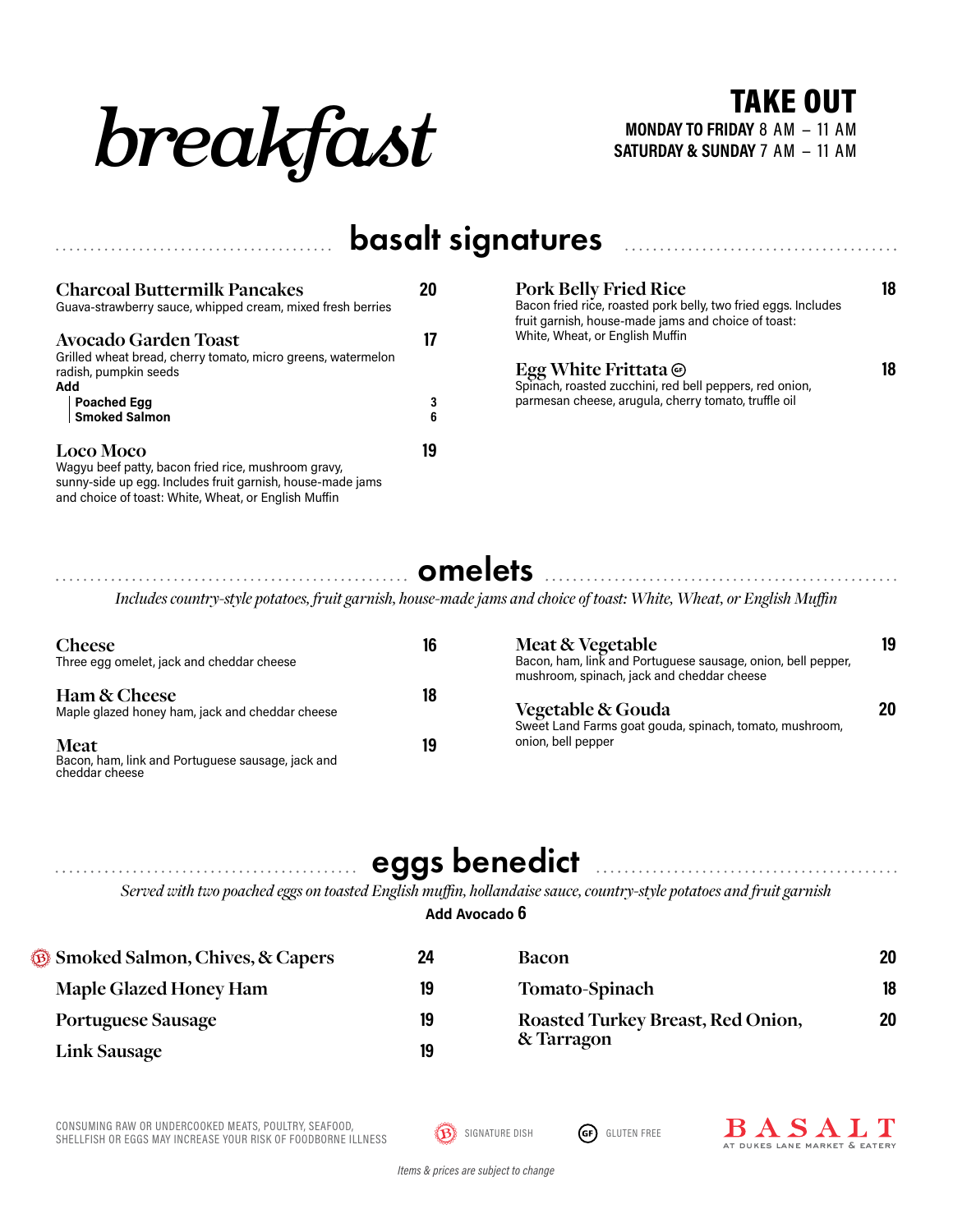

**SATURDAY & SUNDAY** 7 AM − 11 AM TAKE OUT

### basalt signatures

| <b>Charcoal Buttermilk Pancakes</b><br>Guava-strawberry sauce, whipped cream, mixed fresh berries                                     | 20     |
|---------------------------------------------------------------------------------------------------------------------------------------|--------|
| <b>Avocado Garden Toast</b><br>Grilled wheat bread, cherry tomato, micro greens, watermelon<br>radish, pumpkin seeds                  |        |
| Add<br><b>Poached Egg<br/>Smoked Salmon</b>                                                                                           | 3<br>6 |
| <b>Loco Moco</b><br>Wagyu beef patty, bacon fried rice, mushroom gravy,<br>sunny-side up egg. Includes fruit garnish, house-made jams | 19     |

and choice of toast: White, Wheat, or English Muffin

**Pork Belly Fried Rice 18** Bacon fried rice, roasted pork belly, two fried eggs. Includes fruit garnish, house-made jams and choice of toast: White, Wheat, or English Muffin

#### **Egg White Frittata 18**

Spinach, roasted zucchini, red bell peppers, red onion, parmesan cheese, arugula, cherry tomato, truffle oil

### omelets

*Includes country-style potatoes, fruit garnish, house-made jams and choice of toast: White, Wheat, or English Muffin*

| <b>Cheese</b>                                                                      | 16 | Meat & Vegetable                                                                                           | 19 |
|------------------------------------------------------------------------------------|----|------------------------------------------------------------------------------------------------------------|----|
| Three egg omelet, jack and cheddar cheese                                          |    | Bacon, ham, link and Portuguese sausage, onion, bell pepper,<br>mushroom, spinach, jack and cheddar cheese |    |
| Ham & Cheese<br>Maple glazed honey ham, jack and cheddar cheese                    | 18 | Vegetable & Gouda<br>Sweet Land Farms goat gouda, spinach, tomato, mushroom,                               | 20 |
| <b>Meat</b><br>Bacon, ham, link and Portuguese sausage, jack and<br>cheddar cheese | 19 | onion, bell pepper                                                                                         |    |

## eggs benedict

*Served with two poached eggs on toasted English muffin, hollandaise sauce, country-style potatoes and fruit garnish*

#### **Add Avocado 6**

| <b>Separate Salmon, Chives, &amp; Capers</b> | 24 | <b>Bacon</b>                      | 20 |
|----------------------------------------------|----|-----------------------------------|----|
| <b>Maple Glazed Honey Ham</b>                | 19 | Tomato-Spinach                    | 18 |
| <b>Portuguese Sausage</b>                    | 19 | Roasted Turkey Breast, Red Onion, | 20 |
| Link Sausage                                 | 19 | & Tarragon                        |    |

CONSUMING RAW OR UNDERCOOKED MEATS, POULTRY, SEAFOOD, CONSUMING KAW OR UNDERCOOKED MEAIS, POULIRY, SEAFOOD,<br>SHELLFISH OR EGGS MAY INCREASE YOUR RISK OF FOODBORNE ILLNESS **DEALLY AND SIGNATURE DISH GED**GLUTEN FREE